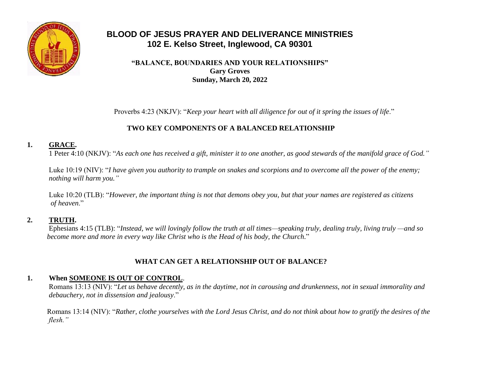

# **BLOOD OF JESUS PRAYER AND DELIVERANCE MINISTRIES 102 E. Kelso Street, Inglewood, CA 90301**

**"BALANCE, BOUNDARIES AND YOUR RELATIONSHIPS" Gary Groves Sunday, March 20, 2022**

Proverbs 4:23 (NKJV): "*Keep your heart with all diligence for out of it spring the issues of life*."

### **TWO KEY COMPONENTS OF A BALANCED RELATIONSHIP**

### **1. GRACE.**

1 Peter 4:10 (NKJV): "*As each one has received a gift, minister it to one another, as good stewards of the manifold grace of God."*

 Luke 10:19 (NIV): "*I have given you authority to trample on snakes and scorpions and to overcome all the power of the enemy; nothing will harm you."*

 Luke 10:20 (TLB): "*However, the important thing is not that demons obey you, but that your names are registered as citizens of heaven*."

## **2. TRUTH.**

 Ephesians 4:15 (TLB): "*Instead, we will lovingly follow the truth at all times—speaking truly, dealing truly, living truly —and so become more and more in every way like Christ who is the Head of his body, the Church*."

## **WHAT CAN GET A RELATIONSHIP OUT OF BALANCE?**

## **1. When SOMEONE IS OUT OF CONTROL**.

 Romans 13:13 (NIV): "*Let us behave decently, as in the daytime, not in carousing and drunkenness, not in sexual immorality and debauchery, not in dissension and jealousy*."

 Romans 13:14 (NIV): "*Rather, clothe yourselves with the Lord Jesus Christ, and do not think about how to gratify the desires of the flesh."*